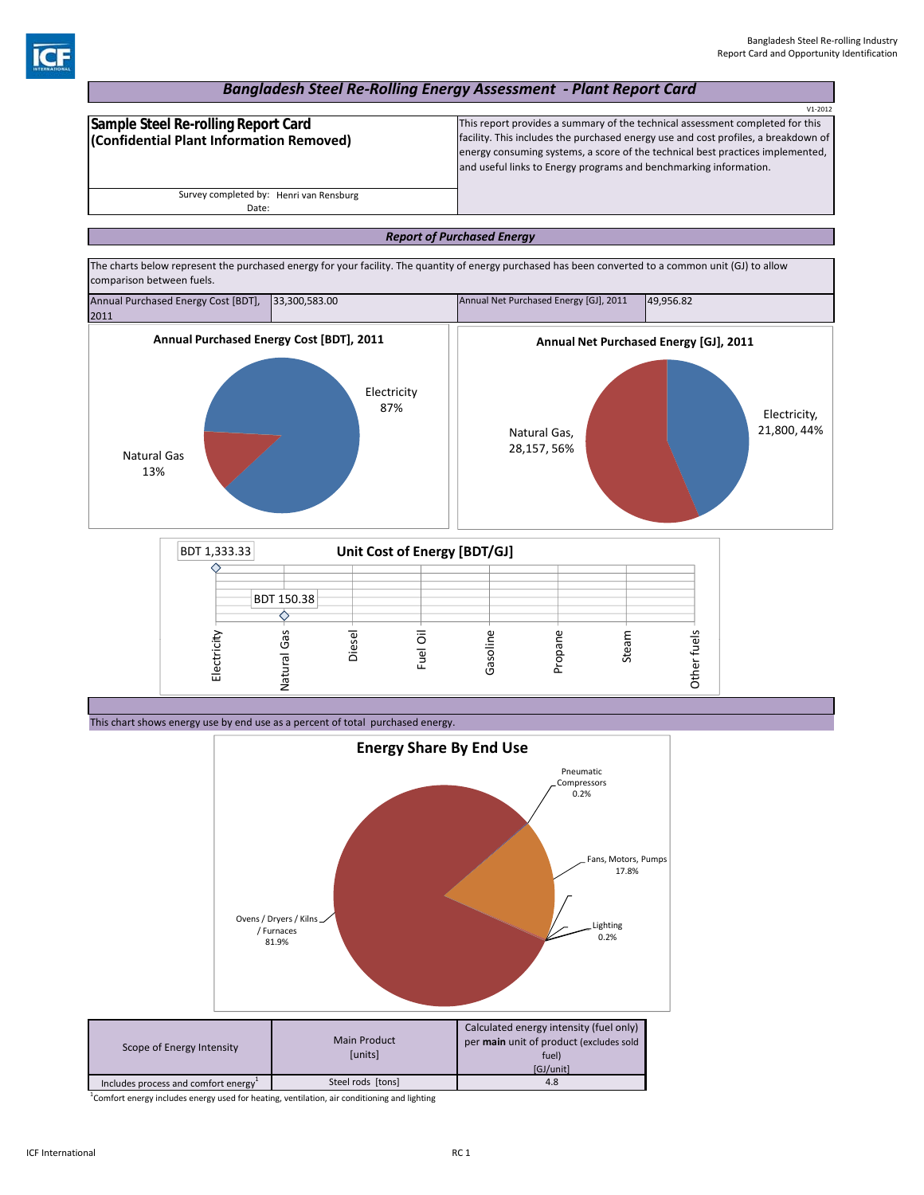## *Bangladesh Steel Re‐Rolling Energy Assessment ‐ Plant Report Card*

|                                          | $V1 - 2012$                                                                        |
|------------------------------------------|------------------------------------------------------------------------------------|
| Sample Steel Re-rolling Report Card      | This report provides a summary of the technical assessment completed for this      |
| (Confidential Plant Information Removed) | facility. This includes the purchased energy use and cost profiles, a breakdown of |
|                                          | energy consuming systems, a score of the technical best practices implemented,     |
|                                          | and useful links to Energy programs and benchmarking information.                  |
|                                          |                                                                                    |
| Survey completed by: Henri van Rensburg  |                                                                                    |
| Date:                                    |                                                                                    |

### *Report of Purchased Energy*



This chart shows energy use by end use as a percent of total purchased energy.



<sup>1</sup>Comfort energy includes energy used for heating, ventilation, air conditioning and lighting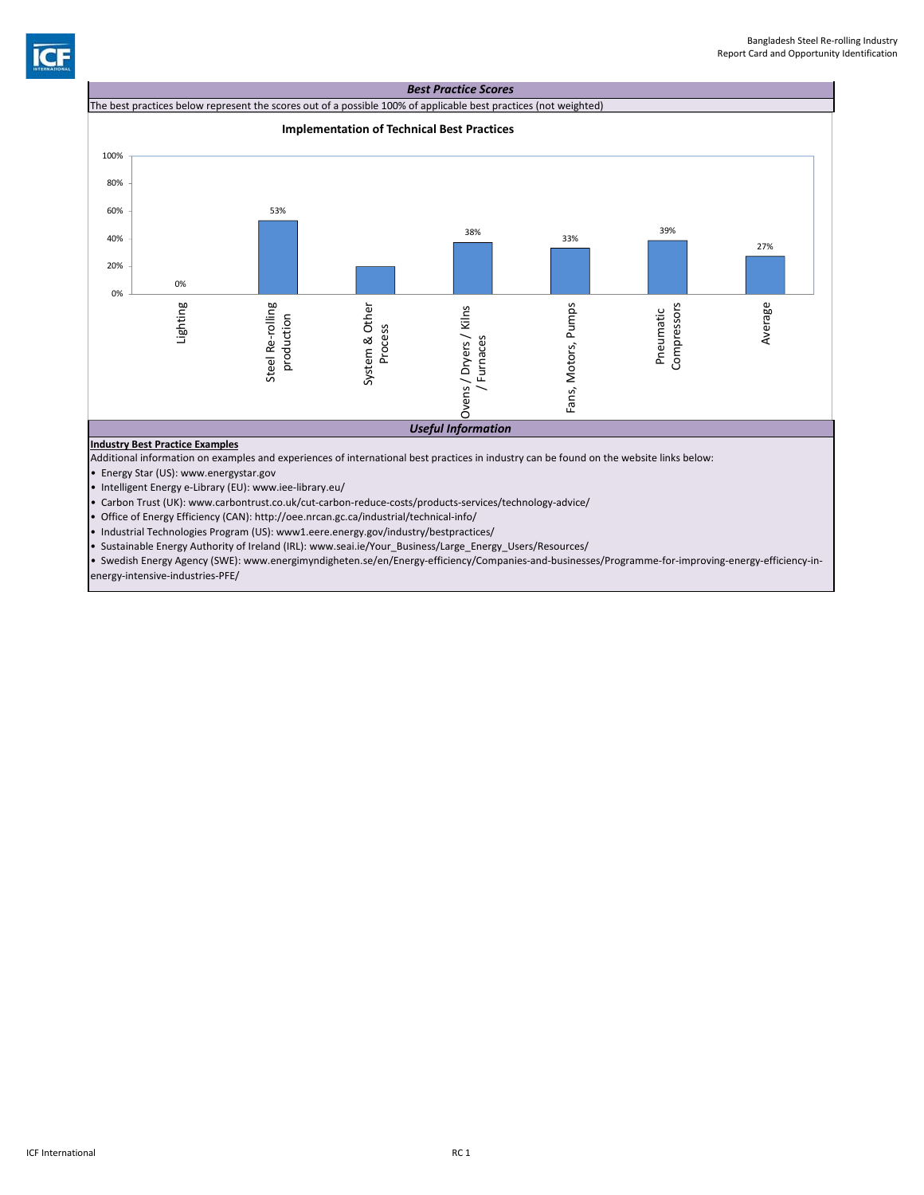



• Carbon Trust (UK): www.carbontrust.co.uk/cut‐carbon‐reduce‐costs/products‐services/technology‐advice/

• Office of Energy Efficiency (CAN): http://oee.nrcan.gc.ca/industrial/technical‐info/

• Industrial Technologies Program (US): www1.eere.energy.gov/industry/bestpractices/

• Sustainable Energy Authority of Ireland (IRL): www.seai.ie/Your\_Business/Large\_Energy\_Users/Resources/

• Swedish Energy Agency (SWE): www.energimyndigheten.se/en/Energy‐efficiency/Companies‐and‐businesses/Programme‐for‐improving‐energy‐efficiency‐in‐ energy‐intensive‐industries‐PFE/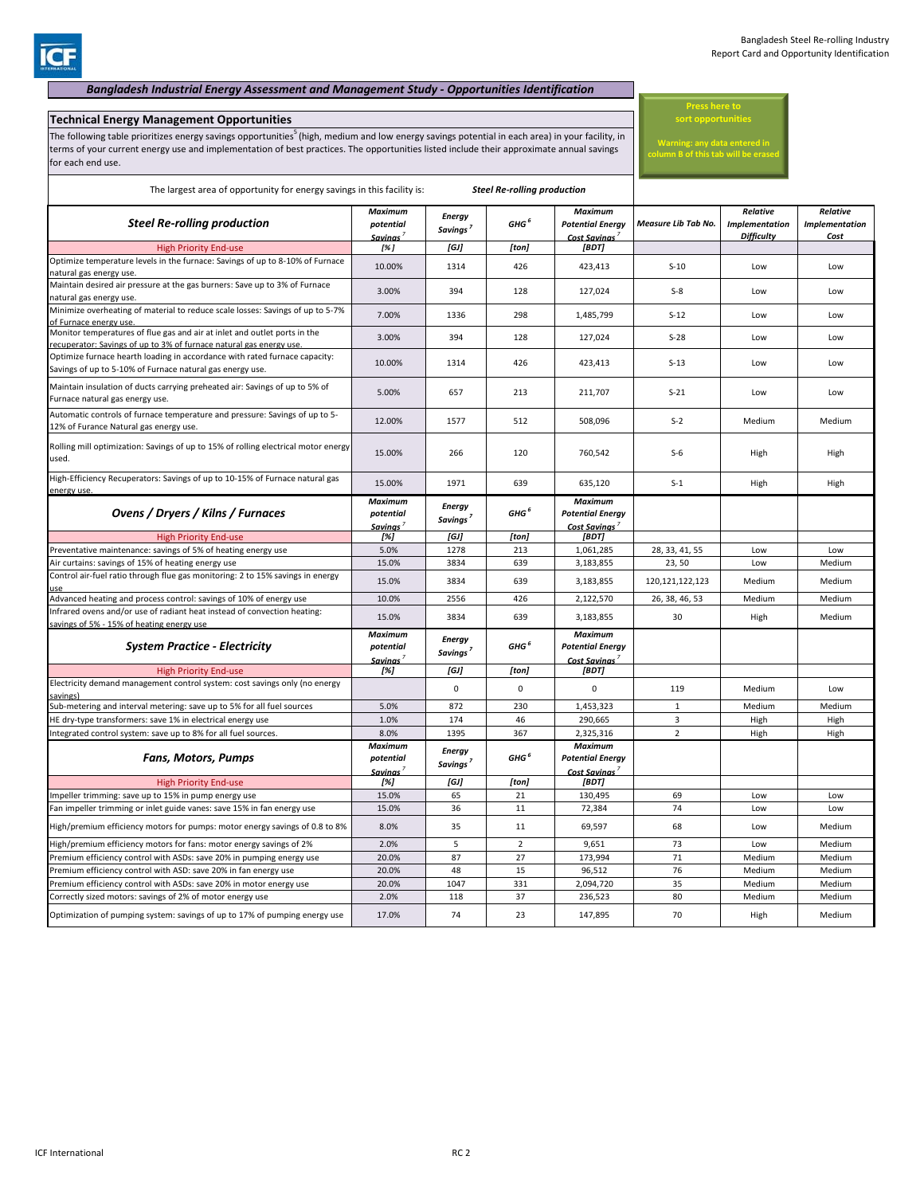## *Bangladesh Industrial Energy Assessment and Management Study ‐ Opportunities Identification*

# **Technical Energy Management Opportunities**

The following table prioritizes energy savings opportunities<sup>5</sup> (high, medium and low energy savings potential in each area) in your facility, in terms of your current energy use and implementation of best practices. The opportunities listed include their approximate annual savings for each end use.

**Press here to sort opportunities**

**Warning: any data entered in column B of this tab will be erased**

| The largest area of opportunity for energy savings in this facility is:                                                                          |                                                     |                                       |                  |                                                           |                     |                                                        |                                           |
|--------------------------------------------------------------------------------------------------------------------------------------------------|-----------------------------------------------------|---------------------------------------|------------------|-----------------------------------------------------------|---------------------|--------------------------------------------------------|-------------------------------------------|
| <b>Steel Re-rolling production</b>                                                                                                               | Maximum<br>potential<br>Savinas'                    | <b>Energy</b><br>Savings <sup>7</sup> | GHG <sup>6</sup> | Maximum<br><b>Potential Energy</b><br>Cost Savinas        | Measure Lib Tab No. | Relative<br><b>Implementation</b><br><b>Difficulty</b> | Relative<br><b>Implementation</b><br>Cost |
| <b>High Priority End-use</b>                                                                                                                     | [%]                                                 | [GJ]                                  | [ton]            | [BDT]                                                     |                     |                                                        |                                           |
| Optimize temperature levels in the furnace: Savings of up to 8-10% of Furnace<br>natural gas energy use.                                         | 10.00%                                              | 1314                                  | 426              | 423,413                                                   | $S-10$              | Low                                                    | Low                                       |
| Maintain desired air pressure at the gas burners: Save up to 3% of Furnace<br>natural gas energy use.                                            | 3.00%                                               | 394                                   | 128              | 127,024                                                   | $S-8$               | Low                                                    | Low                                       |
| Minimize overheating of material to reduce scale losses: Savings of up to 5-7%<br>of Furnace energy use                                          | 7.00%                                               | 1336                                  | 298              | 1,485,799                                                 | $S-12$              | Low                                                    | Low                                       |
| Monitor temperatures of flue gas and air at inlet and outlet ports in the<br>recuperator: Savings of up to 3% of furnace natural gas energy use. | 3.00%                                               | 394                                   | 128              | 127,024                                                   | $S-28$              | Low                                                    | Low                                       |
| Optimize furnace hearth loading in accordance with rated furnace capacity:<br>Savings of up to 5-10% of Furnace natural gas energy use.          | 10.00%                                              | 1314                                  | 426              | 423,413                                                   | $S-13$              | Low                                                    | Low                                       |
| Maintain insulation of ducts carrying preheated air: Savings of up to 5% of<br>Furnace natural gas energy use.                                   | 5.00%                                               | 657                                   | 213              | 211,707                                                   | $S-21$              | Low                                                    | Low                                       |
| Automatic controls of furnace temperature and pressure: Savings of up to 5-<br>12% of Furance Natural gas energy use.                            | 12.00%                                              | 1577                                  | 512              | 508,096                                                   | $S-2$               | Medium                                                 | Medium                                    |
| Rolling mill optimization: Savings of up to 15% of rolling electrical motor energy<br>used.                                                      | 15.00%                                              | 266                                   | 120              | 760,542                                                   | $S-6$               | High                                                   | High                                      |
| High-Efficiency Recuperators: Savings of up to 10-15% of Furnace natural gas<br>energy use.                                                      | 15.00%                                              | 1971                                  | 639              | 635,120                                                   | $S-1$               | High                                                   | High                                      |
| Ovens / Dryers / Kilns / Furnaces                                                                                                                | <b>Maximum</b><br>potential<br>Savinas'             | <b>Energy</b><br>Savings <sup>7</sup> | GHG <sup>6</sup> | <b>Maximum</b><br><b>Potential Energy</b><br>Cost Savinas |                     |                                                        |                                           |
| <b>High Priority End-use</b>                                                                                                                     | [%]                                                 | [GJ]                                  | [ton]            | [BDT]                                                     |                     |                                                        |                                           |
| Preventative maintenance: savings of 5% of heating energy use                                                                                    | 5.0%                                                | 1278                                  | 213              | 1,061,285                                                 | 28, 33, 41, 55      | Low                                                    | Low                                       |
| Air curtains: savings of 15% of heating energy use                                                                                               | 15.0%                                               | 3834                                  | 639              | 3,183,855                                                 | 23,50               | Low                                                    | Medium                                    |
| Control air-fuel ratio through flue gas monitoring: 2 to 15% savings in energy                                                                   | 15.0%                                               | 3834                                  | 639              | 3,183,855                                                 | 120, 121, 122, 123  | Medium                                                 | Medium                                    |
| Advanced heating and process control: savings of 10% of energy use                                                                               | 10.0%                                               | 2556                                  | 426              | 2,122,570                                                 | 26, 38, 46, 53      | Medium                                                 | Medium                                    |
| Infrared ovens and/or use of radiant heat instead of convection heating:<br>avings of 5% - 15% of heating energy use                             | 15.0%                                               | 3834                                  | 639              | 3,183,855                                                 | 30                  | High                                                   | Medium                                    |
| <b>System Practice - Electricity</b>                                                                                                             | <b>Maximum</b><br>potential<br><b>Savinas</b>       | <b>Energy</b><br>Savings <sup>7</sup> | GHG <sup>6</sup> | Maximum<br><b>Potential Energy</b><br>Cost Savinas        |                     |                                                        |                                           |
| <b>High Priority End-use</b>                                                                                                                     | [%]                                                 | [GJ]                                  | [ton]            | [BDT]                                                     |                     |                                                        |                                           |
| Electricity demand management control system: cost savings only (no energy                                                                       |                                                     | $\mathbf 0$                           | $\mathbf 0$      | $\mathbf 0$                                               | 119                 | Medium                                                 | Low                                       |
| ub-metering and interval metering: save up to 5% for all fuel sources                                                                            | 5.0%                                                | 872                                   | 230              | 1,453,323                                                 | $\mathbf 1$         | Medium                                                 | Medium                                    |
| HE dry-type transformers: save 1% in electrical energy use                                                                                       | 1.0%                                                | 174                                   | 46               | 290,665                                                   | $\overline{3}$      | High                                                   | High                                      |
| Integrated control system: save up to 8% for all fuel sources.                                                                                   | 8.0%                                                | 1395                                  | 367              | 2,325,316                                                 | $\overline{2}$      | High                                                   | High                                      |
| <b>Fans, Motors, Pumps</b>                                                                                                                       | <b>Maximum</b><br>potential<br>Savinas <sup>7</sup> | <b>Energy</b><br>Savings <sup>7</sup> | GHG <sup>6</sup> | <b>Maximum</b><br><b>Potential Energy</b><br>Cost Savinas |                     |                                                        |                                           |
| <b>High Priority End-use</b>                                                                                                                     | [%]                                                 | [GJ]                                  | [ton]            | [BDT]                                                     |                     |                                                        |                                           |
| mpeller trimming: save up to 15% in pump energy use                                                                                              | 15.0%                                               | 65                                    | 21               | 130,495                                                   | 69                  | Low                                                    | Low                                       |
| Fan impeller trimming or inlet guide vanes: save 15% in fan energy use                                                                           | 15.0%                                               | 36                                    | 11               | 72,384                                                    | 74                  | Low                                                    | Low                                       |
| High/premium efficiency motors for pumps: motor energy savings of 0.8 to 8%                                                                      | 8.0%                                                | 35                                    | 11               | 69,597                                                    | 68                  | Low                                                    | Medium                                    |
| High/premium efficiency motors for fans: motor energy savings of 2%                                                                              | 2.0%                                                | 5                                     | $\overline{2}$   | 9,651                                                     | 73                  | Low                                                    | Medium                                    |
| Premium efficiency control with ASDs: save 20% in pumping energy use                                                                             | 20.0%                                               | 87                                    | 27               | 173,994                                                   | $71\,$              | Medium                                                 | Medium                                    |
| Premium efficiency control with ASD: save 20% in fan energy use                                                                                  | 20.0%                                               | 48                                    | 15               | 96,512                                                    | 76                  | Medium                                                 | Medium                                    |
| Premium efficiency control with ASDs: save 20% in motor energy use                                                                               | 20.0%                                               | 1047                                  | 331              | 2,094,720                                                 | 35                  | Medium                                                 | Medium                                    |
| Correctly sized motors: savings of 2% of motor energy use                                                                                        | 2.0%                                                | 118                                   | 37               | 236,523                                                   | 80                  | Medium                                                 | Medium                                    |
| Optimization of pumping system: savings of up to 17% of pumping energy use                                                                       | 17.0%                                               | 74                                    | 23               | 147,895                                                   | 70                  | High                                                   | Medium                                    |